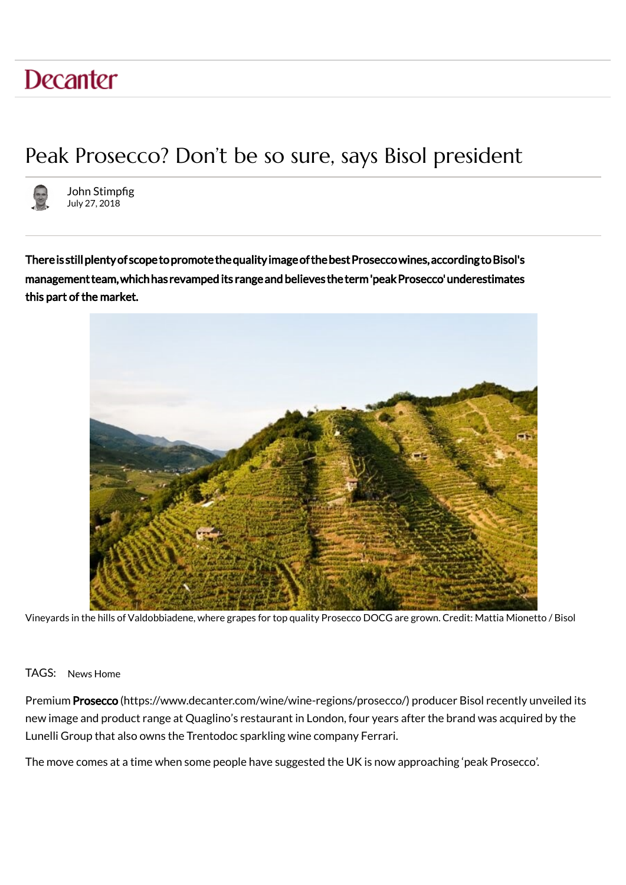## **Decanter**

## Peak Prosecco? Don't be so sure, says Bisol president



John Stimpfig July 27, 2018

this part of the market. There is still plenty of scope to promote the quality image of the best Prosecco wines, according to Bisol's management team, which has revamped its range and believes the term 'peak Prosecco' underestimates



Vineyards in the hills of Valdobbiadene, where grapes for top quality Prosecco DOCG are grown. Credit: Mattia Mionetto / Bisol

## TAGS: News Home

Premium Prosecco (https://www.decanter.com/wine/wine-regions/prosecco/) producer Bisol recently unveiled its new image and product range at Quaglino's restaurant in London, four years after the brand was acquired by the Lunelli Group that also owns the Trentodoc sparkling wine company Ferrari.

The move comes at a time when some people have suggested the UK is now approaching 'peak Prosecco'.